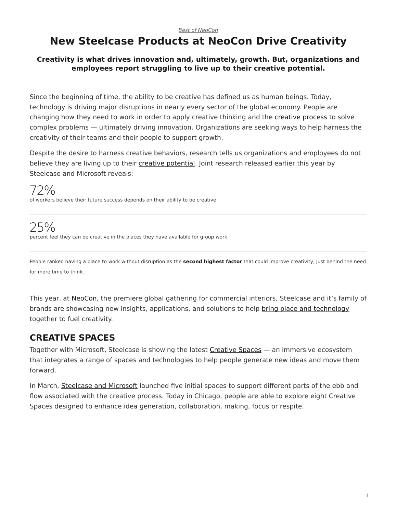# <span id="page-0-0"></span>**New Steelcase Products at NeoCon Drive Creativity**

#### **Creativity is what drives innovation and, ultimately, growth. But, organizations and employees report struggling to live up to their creative potential.**

Since the beginning of time, the ability to be creative has defined us as human beings. Today, technology is driving major disruptions in nearly every sector of the global economy. People are changing how they need to work in order to apply creative thinking and the [creative process](https://www.steelcase.com/research/articles/teaching-creative-process-think-make-share%E2%80%A8/) to solve complex problems — ultimately driving innovation. Organizations are seeking ways to help harness the creativity of their teams and their people to support growth.

Despite the desire to harness creative behaviors, research tells us organizations and employees do not believe they are living up to their [creative potential.](https://www.steelcase.com/research/articles/watch-unlocking-peoples-creative-potential-work/) Joint research released earlier this year by Steelcase and Microsoft reveals:

72% of workers believe their future success depends on their ability to be creative.

25% percent feel they can be creative in the places they have available for group work.

People ranked having a place to work without disruption as the **second highest factor** that could improve creativity, just behind the need for more time to think.

This year, at [NeoCon](https://www.steelcase.com/neocon/), the premiere global gathering for commercial interiors, Steelcase and it's family of brands are showcasing new insights, applications, and solutions to help [bring place and technology](https://www.steelcase.com/research/articles/place-technology-drive-creative-performance/) together to fuel creativity.

# **CREATIVE SPACES**

Together with Microsoft, Steelcase is showing the latest [Creative Spaces](https://www.steelcase.com/microsoft-steelcase/creativity/?utm_source=blog) — an immersive ecosystem that integrates a range of spaces and technologies to help people generate new ideas and move them forward.

In March, [Steelcase and Microsoft](https://www.steelcase.com/microsoft-steelcase/?utm_source=blog) launched five initial spaces to support different parts of the ebb and flow associated with the creative process. Today in Chicago, people are able to explore eight Creative Spaces designed to enhance idea generation, collaboration, making, focus or respite.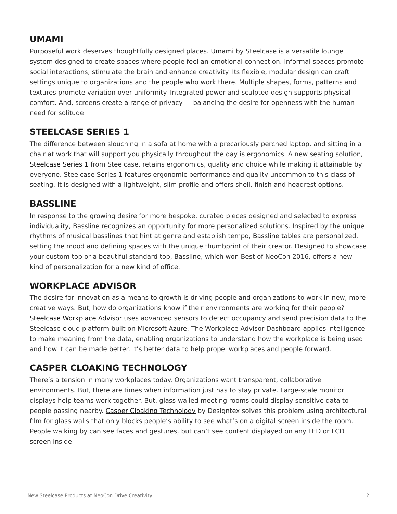#### **UMAMI**

Purposeful work deserves thoughtfully designed places. [Umami](https://www.steelcase.com/products/lounge-seating/umami-lounge-system/) by Steelcase is a versatile lounge system designed to create spaces where people feel an emotional connection. Informal spaces promote social interactions, stimulate the brain and enhance creativity. Its flexible, modular design can craft settings unique to organizations and the people who work there. Multiple shapes, forms, patterns and textures promote variation over uniformity. Integrated power and sculpted design supports physical comfort. And, screens create a range of privacy — balancing the desire for openness with the human need for solitude.

#### **STEELCASE SERIES 1**

The difference between slouching in a sofa at home with a precariously perched laptop, and sitting in a chair at work that will support you physically throughout the day is ergonomics. A new seating solution, [Steelcase](https://www.steelcase.com/products/office-chairs/steelcase-series-1/) [Series 1](https://www.steelcase.com/products/office-chairs/steelcase-series-1/) from Steelcase, retains ergonomics, quality and choice while making it attainable by everyone. Steelcase Series 1 features ergonomic performance and quality uncommon to this class of seating. It is designed with a lightweight, slim profile and offers shell, finish and headrest options.

#### **BASSLINE**

In response to the growing desire for more bespoke, curated pieces designed and selected to express individuality, Bassline recognizes an opportunity for more personalized solutions. Inspired by the unique rhythms of musical basslines that hint at genre and establish tempo, [Bassline tables](https://www.steelcase.com/products/occasional-tables/turnstone-bassline-occasional-tables/) are personalized, setting the mood and defining spaces with the unique thumbprint of their creator. Designed to showcase your custom top or a beautiful standard top, Bassline, which won Best of NeoCon 2016, offers a new kind of personalization for a new kind of office.

#### **WORKPLACE ADVISOR**

The desire for innovation as a means to growth is driving people and organizations to work in new, more creative ways. But, how do organizations know if their environments are working for their people? [Steelcase Workplace Advisor](https://info.steelcase.com/workplace-advisor) uses advanced sensors to detect occupancy and send precision data to the Steelcase cloud platform built on Microsoft Azure. The Workplace Advisor Dashboard applies intelligence to make meaning from the data, enabling organizations to understand how the workplace is being used and how it can be made better. It's better data to help propel workplaces and people forward.

#### **CASPER CLOAKING TECHNOLOGY**

There's a tension in many workplaces today. Organizations want transparent, collaborative environments. But, there are times when information just has to stay private. Large-scale monitor displays help teams work together. But, glass walled meeting rooms could display sensitive data to people passing nearby. [Casper Cloaking Technology](https://www.steelcase.com/blog/casper-cloaking-technology-privacy-transparency/) by Designtex solves this problem using architectural film for glass walls that only blocks people's ability to see what's on a digital screen inside the room. People walking by can see faces and gestures, but can't see content displayed on any LED or LCD screen inside.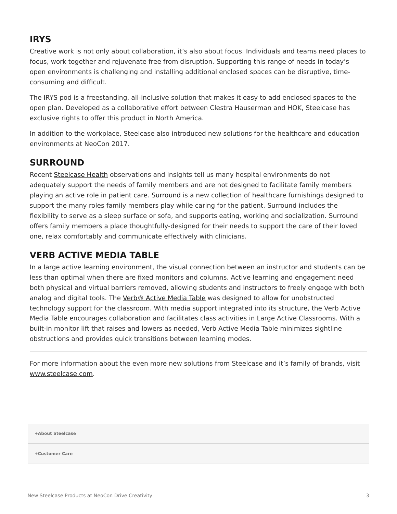# **IRYS**

Creative work is not only about collaboration, it's also about focus. Individuals and teams need places to focus, work together and rejuvenate free from disruption. Supporting this range of needs in today's open environments is challenging and installing additional enclosed spaces can be disruptive, timeconsuming and difficult.

The IRYS pod is a freestanding, all-inclusive solution that makes it easy to add enclosed spaces to the open plan. Developed as a collaborative effort between Clestra Hauserman and HOK, Steelcase has exclusive rights to offer this product in North America.

In addition to the workplace, Steelcase also introduced new solutions for the healthcare and education environments at NeoCon 2017.

#### **SURROUND**

Recent [Steelcase Health](https://www.steelcase.com/blog/new-health-insights-family-face-unmet-needs/) observations and insights tell us many hospital environments do not adequately support the needs of family members and are not designed to facilitate family members playing an active role in patient care. [Surround](http://steelcasehealth.com/surround) is a new collection of healthcare furnishings designed to support the many roles family members play while caring for the patient. Surround includes the flexibility to serve as a sleep surface or sofa, and supports eating, working and socialization. Surround offers family members a place thoughtfully-designed for their needs to support the care of their loved one, relax comfortably and communicate effectively with clinicians.

### **VERB ACTIVE MEDIA TABLE**

In a large active learning environment, the visual connection between an instructor and students can be less than optimal when there are fixed monitors and columns. Active learning and engagement need both physical and virtual barriers removed, allowing students and instructors to freely engage with both analog and digital tools. The [Verb® Active Media Table](https://www.steelcase.com/research/articles/topics/education/verb-active-media-table-activates-large-classrooms/) was designed to allow for unobstructed technology support for the classroom. With media support integrated into its structure, the Verb Active Media Table encourages collaboration and facilitates class activities in Large Active Classrooms. With a built-in monitor lift that raises and lowers as needed, Verb Active Media Table minimizes sightline obstructions and provides quick transitions between learning modes.

For more information about the even more new solutions from Steelcase and it's family of brands, visit [www.steelcase.com](http://www.steelcase.com/).

**[+About Steelcase](https://www.steelcase.com/discover/steelcase/our-company/)**

**[+Customer Care](#page-0-0)**